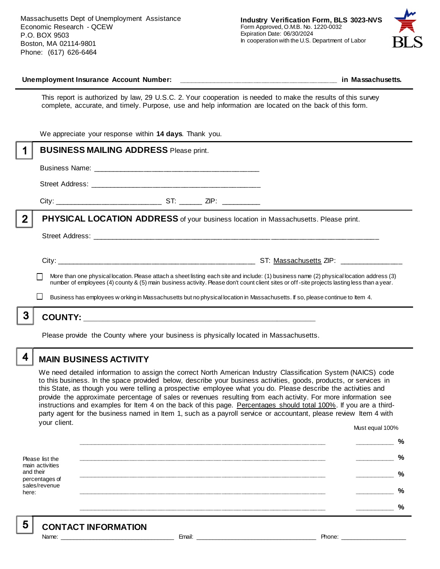Massachusetts Dept of Unemployment Assistance Economic Research - QCEW P.O. BOX 9503 Boston, MA 02114-9801 Phone: (617) 626-6464



#### **Unemployment Insurance Account Number: \_\_\_\_\_\_\_\_\_\_\_\_\_\_\_\_\_\_\_\_\_\_\_\_\_\_\_\_\_\_\_\_\_\_\_\_\_\_\_\_ in Massachusetts.**

This report is authorized by law, 29 U.S.C. 2. Your cooperation is needed to make the results of this survey complete, accurate, and timely. Purpose, use and help information are located on the back of this form.

|   | We appreciate your response within 14 days. Thank you.                                                                                                                                                                                                                                                                                                                                                                    |  |  |  |
|---|---------------------------------------------------------------------------------------------------------------------------------------------------------------------------------------------------------------------------------------------------------------------------------------------------------------------------------------------------------------------------------------------------------------------------|--|--|--|
|   | <b>BUSINESS MAILING ADDRESS Please print.</b>                                                                                                                                                                                                                                                                                                                                                                             |  |  |  |
|   |                                                                                                                                                                                                                                                                                                                                                                                                                           |  |  |  |
|   |                                                                                                                                                                                                                                                                                                                                                                                                                           |  |  |  |
|   |                                                                                                                                                                                                                                                                                                                                                                                                                           |  |  |  |
| 2 | <b>PHYSICAL LOCATION ADDRESS</b> of your business location in Massachusetts. Please print.                                                                                                                                                                                                                                                                                                                                |  |  |  |
|   |                                                                                                                                                                                                                                                                                                                                                                                                                           |  |  |  |
|   | More than one physical location. Please attach a sheet listing each site and include: (1) business name (2) physical location address (3)<br>number of employees (4) county & (5) main business activity. Please don't count client sites or off-site projects lasting less than a year.<br>Business has employees w orking in Massachusetts but no physical location in Massachusetts. If so, please continue to Item 4. |  |  |  |
|   |                                                                                                                                                                                                                                                                                                                                                                                                                           |  |  |  |
|   |                                                                                                                                                                                                                                                                                                                                                                                                                           |  |  |  |

Please provide the County where your business is physically located in Massachusetts.

4

5

# **MAIN BUSINESS ACTIVITY**

We need detailed information to assign the correct North American Industry Classification System (NAICS) code to this business. In the space provided below, describe your business activities, goods, products, or services in this State, as though you were telling a prospective employee what you do. Please describe the activities and provide the approximate percentage of sales or revenues resulting from each activity. For more information see instructions and examples for Item 4 on the back of this page. Percentages should total 100%. If you are a thirdparty agent for the business named in Item 1, such as a payroll service or accountant, please review Item 4 with your client. Must equal 100%

Please list the main activities and their percentages of sales/revenue here: **\_\_\_\_\_\_\_\_\_\_\_\_\_\_\_\_\_\_\_\_\_\_\_\_\_\_\_\_\_\_\_\_\_\_\_\_\_\_\_\_\_\_\_\_\_\_\_\_\_\_\_\_\_\_\_\_\_\_\_\_\_\_ \_\_\_\_\_\_\_\_\_\_ % \_\_\_\_\_\_\_\_\_\_\_\_\_\_\_\_\_\_\_\_\_\_\_\_\_\_\_\_\_\_\_\_\_\_\_\_\_\_\_\_\_\_\_\_\_\_\_\_\_\_\_\_\_\_\_\_\_\_\_\_\_\_ \_\_\_\_\_\_\_\_\_\_ % \_\_\_\_\_\_\_\_\_\_\_\_\_\_\_\_\_\_\_\_\_\_\_\_\_\_\_\_\_\_\_\_\_\_\_\_\_\_\_\_\_\_\_\_\_\_\_\_\_\_\_\_\_\_\_\_\_\_\_\_\_\_ \_\_\_\_\_\_\_\_\_\_ % \_\_\_\_\_\_\_\_\_\_\_\_\_\_\_\_\_\_\_\_\_\_\_\_\_\_\_\_\_\_\_\_\_\_\_\_\_\_\_\_\_\_\_\_\_\_\_\_\_\_\_\_\_\_\_\_\_\_\_\_\_\_ \_\_\_\_\_\_\_\_\_\_ % \_\_\_\_\_\_\_\_\_\_\_\_\_\_\_\_\_\_\_\_\_\_\_\_\_\_\_\_\_\_\_\_\_\_\_\_\_\_\_\_\_\_\_\_\_\_\_\_\_\_\_\_\_\_\_\_\_\_\_\_\_\_ \_\_\_\_\_\_\_\_\_\_ %**